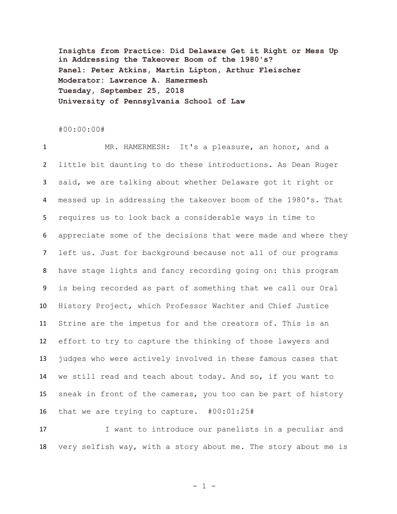**Insights from Practice: Did Delaware Get it Right or Mess Up in Addressing the Takeover Boom of the 1980's? Panel: Peter Atkins, Martin Lipton, Arthur Fleischer Moderator: Lawrence A. Hamermesh Tuesday, September 25, 2018 University of Pennsylvania School of Law**

## #00:00:00#

 MR. HAMERMESH: It's a pleasure, an honor, and a little bit daunting to do these introductions. As Dean Ruger said, we are talking about whether Delaware got it right or messed up in addressing the takeover boom of the 1980's. That requires us to look back a considerable ways in time to appreciate some of the decisions that were made and where they left us. Just for background because not all of our programs have stage lights and fancy recording going on: this program is being recorded as part of something that we call our Oral History Project, which Professor Wachter and Chief Justice Strine are the impetus for and the creators of. This is an effort to try to capture the thinking of those lawyers and judges who were actively involved in these famous cases that we still read and teach about today. And so, if you want to sneak in front of the cameras, you too can be part of history that we are trying to capture. #00:01:25#

17 I want to introduce our panelists in a peculiar and very selfish way, with a story about me. The story about me is

- 1 -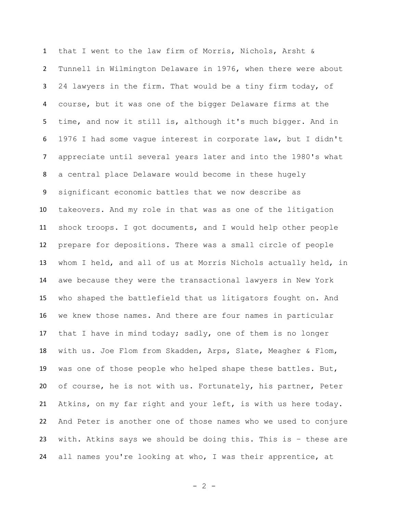that I went to the law firm of Morris, Nichols, Arsht & Tunnell in Wilmington Delaware in 1976, when there were about 24 lawyers in the firm. That would be a tiny firm today, of course, but it was one of the bigger Delaware firms at the time, and now it still is, although it's much bigger. And in 1976 I had some vague interest in corporate law, but I didn't appreciate until several years later and into the 1980's what a central place Delaware would become in these hugely significant economic battles that we now describe as takeovers. And my role in that was as one of the litigation shock troops. I got documents, and I would help other people prepare for depositions. There was a small circle of people whom I held, and all of us at Morris Nichols actually held, in awe because they were the transactional lawyers in New York who shaped the battlefield that us litigators fought on. And we knew those names. And there are four names in particular that I have in mind today; sadly, one of them is no longer with us. Joe Flom from Skadden, Arps, Slate, Meagher & Flom, was one of those people who helped shape these battles. But, of course, he is not with us. Fortunately, his partner, Peter Atkins, on my far right and your left, is with us here today. And Peter is another one of those names who we used to conjure with. Atkins says we should be doing this. This is – these are all names you're looking at who, I was their apprentice, at

 $- 2 -$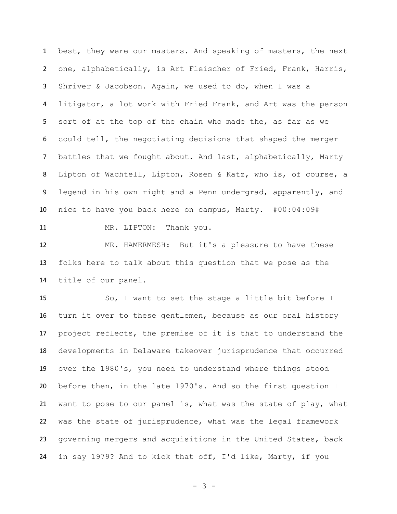best, they were our masters. And speaking of masters, the next one, alphabetically, is Art Fleischer of Fried, Frank, Harris, Shriver & Jacobson. Again, we used to do, when I was a litigator, a lot work with Fried Frank, and Art was the person sort of at the top of the chain who made the, as far as we could tell, the negotiating decisions that shaped the merger battles that we fought about. And last, alphabetically, Marty Lipton of Wachtell, Lipton, Rosen & Katz, who is, of course, a legend in his own right and a Penn undergrad, apparently, and nice to have you back here on campus, Marty. #00:04:09# 11 MR. LIPTON: Thank you.

 MR. HAMERMESH: But it's a pleasure to have these folks here to talk about this question that we pose as the title of our panel.

 So, I want to set the stage a little bit before I turn it over to these gentlemen, because as our oral history project reflects, the premise of it is that to understand the developments in Delaware takeover jurisprudence that occurred over the 1980's, you need to understand where things stood before then, in the late 1970's. And so the first question I want to pose to our panel is, what was the state of play, what was the state of jurisprudence, what was the legal framework governing mergers and acquisitions in the United States, back in say 1979? And to kick that off, I'd like, Marty, if you

- 3 -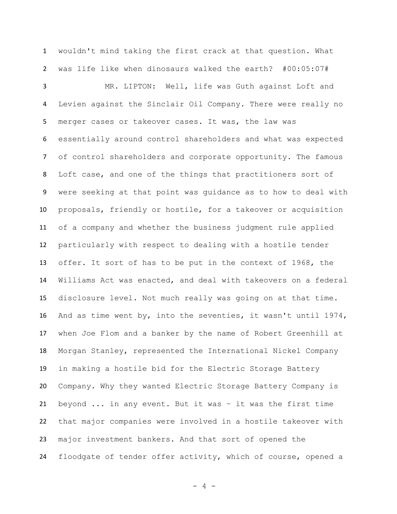wouldn't mind taking the first crack at that question. What was life like when dinosaurs walked the earth? #00:05:07#

 MR. LIPTON: Well, life was Guth against Loft and Levien against the Sinclair Oil Company. There were really no merger cases or takeover cases. It was, the law was essentially around control shareholders and what was expected of control shareholders and corporate opportunity. The famous Loft case, and one of the things that practitioners sort of were seeking at that point was guidance as to how to deal with proposals, friendly or hostile, for a takeover or acquisition of a company and whether the business judgment rule applied particularly with respect to dealing with a hostile tender offer. It sort of has to be put in the context of 1968, the Williams Act was enacted, and deal with takeovers on a federal disclosure level. Not much really was going on at that time. And as time went by, into the seventies, it wasn't until 1974, when Joe Flom and a banker by the name of Robert Greenhill at Morgan Stanley, represented the International Nickel Company in making a hostile bid for the Electric Storage Battery Company. Why they wanted Electric Storage Battery Company is beyond ... in any event. But it was – it was the first time that major companies were involved in a hostile takeover with major investment bankers. And that sort of opened the floodgate of tender offer activity, which of course, opened a

- 4 -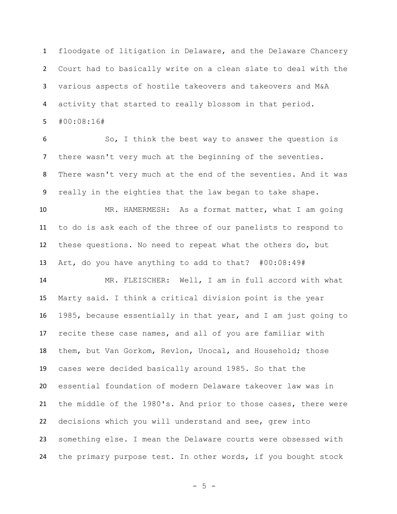floodgate of litigation in Delaware, and the Delaware Chancery Court had to basically write on a clean slate to deal with the various aspects of hostile takeovers and takeovers and M&A activity that started to really blossom in that period. #00:08:16#

 So, I think the best way to answer the question is there wasn't very much at the beginning of the seventies. There wasn't very much at the end of the seventies. And it was really in the eighties that the law began to take shape.

 MR. HAMERMESH: As a format matter, what I am going to do is ask each of the three of our panelists to respond to these questions. No need to repeat what the others do, but Art, do you have anything to add to that? #00:08:49#

 MR. FLEISCHER: Well, I am in full accord with what Marty said. I think a critical division point is the year 1985, because essentially in that year, and I am just going to recite these case names, and all of you are familiar with them, but Van Gorkom, Revlon, Unocal, and Household; those cases were decided basically around 1985. So that the essential foundation of modern Delaware takeover law was in the middle of the 1980's. And prior to those cases, there were decisions which you will understand and see, grew into something else. I mean the Delaware courts were obsessed with the primary purpose test. In other words, if you bought stock

 $- 5 -$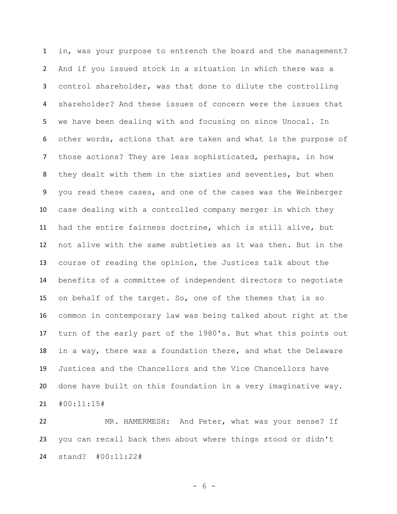in, was your purpose to entrench the board and the management? And if you issued stock in a situation in which there was a control shareholder, was that done to dilute the controlling shareholder? And these issues of concern were the issues that we have been dealing with and focusing on since Unocal. In other words, actions that are taken and what is the purpose of those actions? They are less sophisticated, perhaps, in how they dealt with them in the sixties and seventies, but when you read these cases, and one of the cases was the Weinberger case dealing with a controlled company merger in which they had the entire fairness doctrine, which is still alive, but not alive with the same subtleties as it was then. But in the course of reading the opinion, the Justices talk about the benefits of a committee of independent directors to negotiate on behalf of the target. So, one of the themes that is so common in contemporary law was being talked about right at the turn of the early part of the 1980's. But what this points out in a way, there was a foundation there, and what the Delaware Justices and the Chancellors and the Vice Chancellors have done have built on this foundation in a very imaginative way. #00:11:15#

 MR. HAMERMESH: And Peter, what was your sense? If you can recall back then about where things stood or didn't stand? #00:11:22#

- 6 -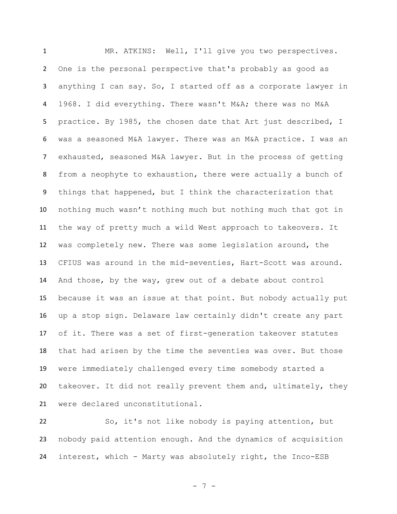MR. ATKINS: Well, I'll give you two perspectives. One is the personal perspective that's probably as good as anything I can say. So, I started off as a corporate lawyer in 1968. I did everything. There wasn't M&A; there was no M&A practice. By 1985, the chosen date that Art just described, I was a seasoned M&A lawyer. There was an M&A practice. I was an exhausted, seasoned M&A lawyer. But in the process of getting from a neophyte to exhaustion, there were actually a bunch of things that happened, but I think the characterization that nothing much wasn't nothing much but nothing much that got in the way of pretty much a wild West approach to takeovers. It was completely new. There was some legislation around, the CFIUS was around in the mid-seventies, Hart-Scott was around. And those, by the way, grew out of a debate about control because it was an issue at that point. But nobody actually put up a stop sign. Delaware law certainly didn't create any part of it. There was a set of first-generation takeover statutes that had arisen by the time the seventies was over. But those were immediately challenged every time somebody started a takeover. It did not really prevent them and, ultimately, they were declared unconstitutional.

 So, it's not like nobody is paying attention, but nobody paid attention enough. And the dynamics of acquisition interest, which - Marty was absolutely right, the Inco-ESB

- 7 -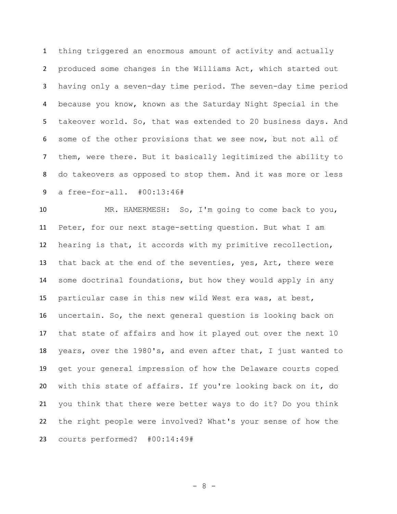thing triggered an enormous amount of activity and actually produced some changes in the Williams Act, which started out having only a seven-day time period. The seven-day time period because you know, known as the Saturday Night Special in the takeover world. So, that was extended to 20 business days. And some of the other provisions that we see now, but not all of them, were there. But it basically legitimized the ability to do takeovers as opposed to stop them. And it was more or less a free-for-all. #00:13:46#

 MR. HAMERMESH: So, I'm going to come back to you, Peter, for our next stage-setting question. But what I am hearing is that, it accords with my primitive recollection, that back at the end of the seventies, yes, Art, there were some doctrinal foundations, but how they would apply in any particular case in this new wild West era was, at best, uncertain. So, the next general question is looking back on that state of affairs and how it played out over the next 10 years, over the 1980's, and even after that, I just wanted to get your general impression of how the Delaware courts coped with this state of affairs. If you're looking back on it, do you think that there were better ways to do it? Do you think the right people were involved? What's your sense of how the courts performed? #00:14:49#

- 8 -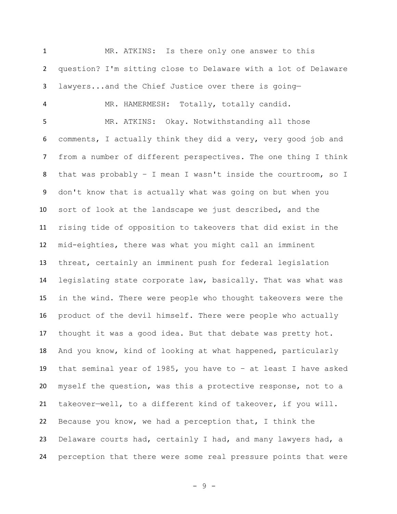MR. ATKINS: Is there only one answer to this question? I'm sitting close to Delaware with a lot of Delaware lawyers...and the Chief Justice over there is going— MR. HAMERMESH: Totally, totally candid. MR. ATKINS: Okay. Notwithstanding all those comments, I actually think they did a very, very good job and from a number of different perspectives. The one thing I think that was probably – I mean I wasn't inside the courtroom, so I don't know that is actually what was going on but when you sort of look at the landscape we just described, and the rising tide of opposition to takeovers that did exist in the mid-eighties, there was what you might call an imminent threat, certainly an imminent push for federal legislation legislating state corporate law, basically. That was what was in the wind. There were people who thought takeovers were the product of the devil himself. There were people who actually thought it was a good idea. But that debate was pretty hot. And you know, kind of looking at what happened, particularly that seminal year of 1985, you have to – at least I have asked myself the question, was this a protective response, not to a takeover—well, to a different kind of takeover, if you will. Because you know, we had a perception that, I think the Delaware courts had, certainly I had, and many lawyers had, a perception that there were some real pressure points that were

- 9 -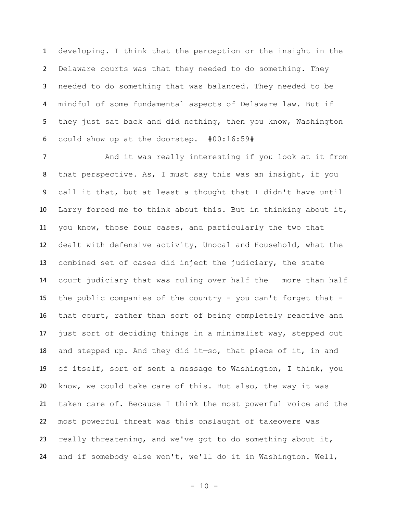developing. I think that the perception or the insight in the Delaware courts was that they needed to do something. They needed to do something that was balanced. They needed to be mindful of some fundamental aspects of Delaware law. But if they just sat back and did nothing, then you know, Washington could show up at the doorstep. #00:16:59#

7 And it was really interesting if you look at it from that perspective. As, I must say this was an insight, if you call it that, but at least a thought that I didn't have until Larry forced me to think about this. But in thinking about it, you know, those four cases, and particularly the two that dealt with defensive activity, Unocal and Household, what the combined set of cases did inject the judiciary, the state court judiciary that was ruling over half the – more than half the public companies of the country - you can't forget that - that court, rather than sort of being completely reactive and just sort of deciding things in a minimalist way, stepped out and stepped up. And they did it—so, that piece of it, in and of itself, sort of sent a message to Washington, I think, you know, we could take care of this. But also, the way it was taken care of. Because I think the most powerful voice and the most powerful threat was this onslaught of takeovers was really threatening, and we've got to do something about it, and if somebody else won't, we'll do it in Washington. Well,

- 10 -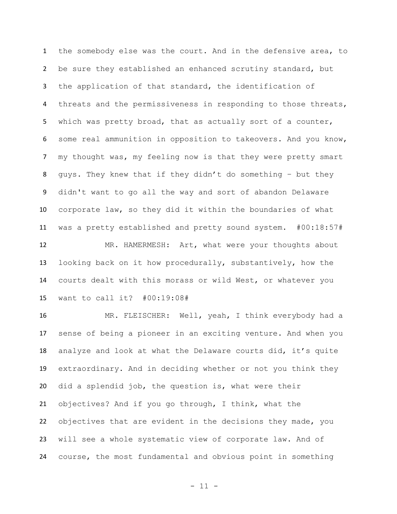the somebody else was the court. And in the defensive area, to be sure they established an enhanced scrutiny standard, but the application of that standard, the identification of 4 threats and the permissiveness in responding to those threats, which was pretty broad, that as actually sort of a counter, some real ammunition in opposition to takeovers. And you know, my thought was, my feeling now is that they were pretty smart guys. They knew that if they didn't do something – but they didn't want to go all the way and sort of abandon Delaware corporate law, so they did it within the boundaries of what was a pretty established and pretty sound system. #00:18:57# MR. HAMERMESH: Art, what were your thoughts about looking back on it how procedurally, substantively, how the courts dealt with this morass or wild West, or whatever you want to call it? #00:19:08#

 MR. FLEISCHER: Well, yeah, I think everybody had a sense of being a pioneer in an exciting venture. And when you analyze and look at what the Delaware courts did, it's quite extraordinary. And in deciding whether or not you think they did a splendid job, the question is, what were their objectives? And if you go through, I think, what the objectives that are evident in the decisions they made, you will see a whole systematic view of corporate law. And of course, the most fundamental and obvious point in something

- 11 -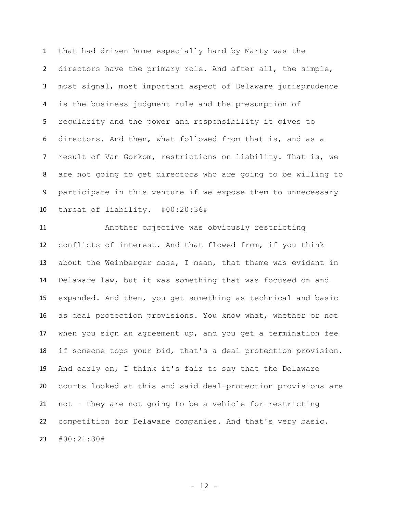that had driven home especially hard by Marty was the directors have the primary role. And after all, the simple, most signal, most important aspect of Delaware jurisprudence is the business judgment rule and the presumption of regularity and the power and responsibility it gives to directors. And then, what followed from that is, and as a result of Van Gorkom, restrictions on liability. That is, we are not going to get directors who are going to be willing to participate in this venture if we expose them to unnecessary threat of liability. #00:20:36#

 Another objective was obviously restricting conflicts of interest. And that flowed from, if you think about the Weinberger case, I mean, that theme was evident in Delaware law, but it was something that was focused on and expanded. And then, you get something as technical and basic as deal protection provisions. You know what, whether or not when you sign an agreement up, and you get a termination fee if someone tops your bid, that's a deal protection provision. And early on, I think it's fair to say that the Delaware courts looked at this and said deal-protection provisions are not – they are not going to be a vehicle for restricting competition for Delaware companies. And that's very basic. #00:21:30#

 $- 12 -$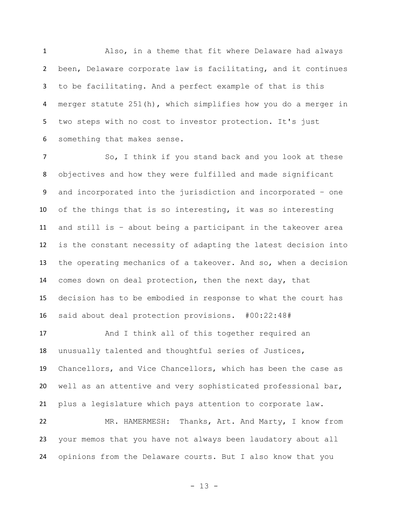Also, in a theme that fit where Delaware had always been, Delaware corporate law is facilitating, and it continues to be facilitating. And a perfect example of that is this merger statute 251(h), which simplifies how you do a merger in two steps with no cost to investor protection. It's just something that makes sense.

 So, I think if you stand back and you look at these objectives and how they were fulfilled and made significant and incorporated into the jurisdiction and incorporated – one of the things that is so interesting, it was so interesting and still is – about being a participant in the takeover area is the constant necessity of adapting the latest decision into the operating mechanics of a takeover. And so, when a decision comes down on deal protection, then the next day, that decision has to be embodied in response to what the court has said about deal protection provisions. #00:22:48#

 And I think all of this together required an unusually talented and thoughtful series of Justices, Chancellors, and Vice Chancellors, which has been the case as well as an attentive and very sophisticated professional bar, plus a legislature which pays attention to corporate law.

 MR. HAMERMESH: Thanks, Art. And Marty, I know from your memos that you have not always been laudatory about all opinions from the Delaware courts. But I also know that you

- 13 -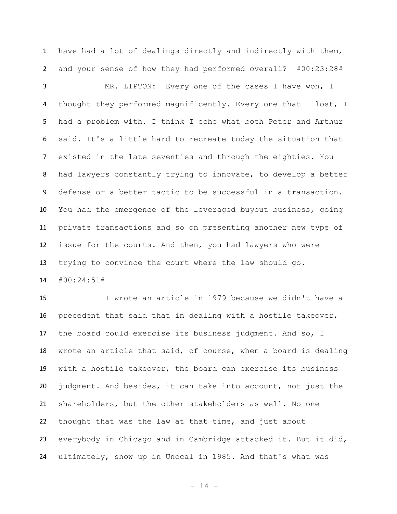have had a lot of dealings directly and indirectly with them, and your sense of how they had performed overall? #00:23:28#

 MR. LIPTON: Every one of the cases I have won, I 4 thought they performed magnificently. Every one that I lost, I had a problem with. I think I echo what both Peter and Arthur said. It's a little hard to recreate today the situation that existed in the late seventies and through the eighties. You had lawyers constantly trying to innovate, to develop a better defense or a better tactic to be successful in a transaction. You had the emergence of the leveraged buyout business, going private transactions and so on presenting another new type of issue for the courts. And then, you had lawyers who were trying to convince the court where the law should go. #00:24:51#

 I wrote an article in 1979 because we didn't have a precedent that said that in dealing with a hostile takeover, the board could exercise its business judgment. And so, I wrote an article that said, of course, when a board is dealing with a hostile takeover, the board can exercise its business judgment. And besides, it can take into account, not just the shareholders, but the other stakeholders as well. No one thought that was the law at that time, and just about everybody in Chicago and in Cambridge attacked it. But it did, ultimately, show up in Unocal in 1985. And that's what was

- 14 -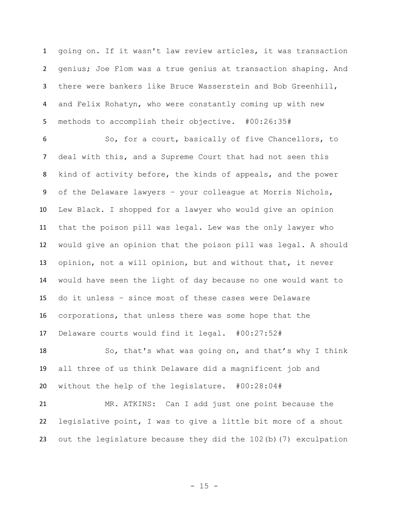going on. If it wasn't law review articles, it was transaction genius; Joe Flom was a true genius at transaction shaping. And there were bankers like Bruce Wasserstein and Bob Greenhill, and Felix Rohatyn, who were constantly coming up with new methods to accomplish their objective. #00:26:35#

 So, for a court, basically of five Chancellors, to deal with this, and a Supreme Court that had not seen this kind of activity before, the kinds of appeals, and the power of the Delaware lawyers – your colleague at Morris Nichols, Lew Black. I shopped for a lawyer who would give an opinion that the poison pill was legal. Lew was the only lawyer who would give an opinion that the poison pill was legal. A should opinion, not a will opinion, but and without that, it never would have seen the light of day because no one would want to do it unless – since most of these cases were Delaware corporations, that unless there was some hope that the Delaware courts would find it legal. #00:27:52#

 So, that's what was going on, and that's why I think all three of us think Delaware did a magnificent job and without the help of the legislature. #00:28:04#

 MR. ATKINS: Can I add just one point because the legislative point, I was to give a little bit more of a shout out the legislature because they did the 102(b)(7) exculpation

 $- 15 -$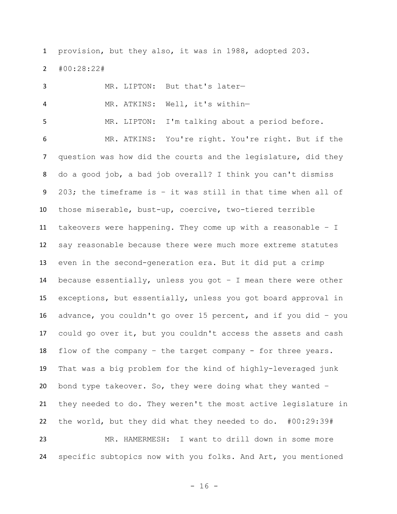provision, but they also, it was in 1988, adopted 203.

#00:28:22#

| 3              | MR. LIPTON: But that's later-                                   |
|----------------|-----------------------------------------------------------------|
| 4              | MR. ATKINS:<br>Well, it's within-                               |
| 5              | I'm talking about a period before.<br>MR. LIPTON:               |
| 6              | MR. ATKINS: You're right. You're right. But if the              |
| $\overline{7}$ | question was how did the courts and the legislature, did they   |
| 8              | do a good job, a bad job overall? I think you can't dismiss     |
| 9              | 203; the timeframe is - it was still in that time when all of   |
| 10             | those miserable, bust-up, coercive, two-tiered terrible         |
| 11             | takeovers were happening. They come up with a reasonable - I    |
| 12             | say reasonable because there were much more extreme statutes    |
| 13             | even in the second-generation era. But it did put a crimp       |
| 14             | because essentially, unless you got $-$ I mean there were other |
| 15             | exceptions, but essentially, unless you got board approval in   |
| 16             | advance, you couldn't go over 15 percent, and if you did - you  |
| 17             | could go over it, but you couldn't access the assets and cash   |
| 18             | flow of the company - the target company - for three years.     |
| 19             | That was a big problem for the kind of highly-leveraged junk    |
| 20             | bond type takeover. So, they were doing what they wanted $-$    |
| 21             | they needed to do. They weren't the most active legislature in  |
| 22             | the world, but they did what they needed to do. #00:29:39#      |
| 23             | MR. HAMERMESH: I want to drill down in some more                |
| 24             | specific subtopics now with you folks. And Art, you mentioned   |

- 16 -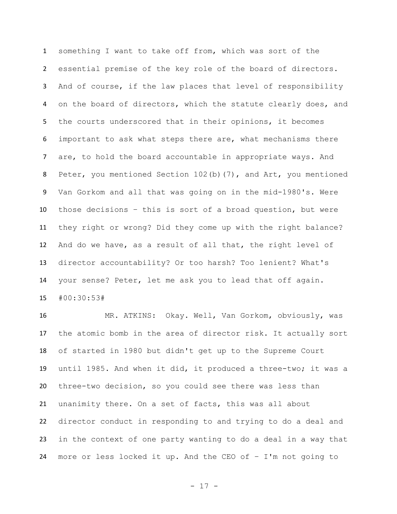something I want to take off from, which was sort of the essential premise of the key role of the board of directors. And of course, if the law places that level of responsibility on the board of directors, which the statute clearly does, and the courts underscored that in their opinions, it becomes important to ask what steps there are, what mechanisms there are, to hold the board accountable in appropriate ways. And Peter, you mentioned Section 102(b)(7), and Art, you mentioned Van Gorkom and all that was going on in the mid-1980's. Were those decisions – this is sort of a broad question, but were they right or wrong? Did they come up with the right balance? And do we have, as a result of all that, the right level of director accountability? Or too harsh? Too lenient? What's your sense? Peter, let me ask you to lead that off again. #00:30:53#

 MR. ATKINS: Okay. Well, Van Gorkom, obviously, was the atomic bomb in the area of director risk. It actually sort of started in 1980 but didn't get up to the Supreme Court until 1985. And when it did, it produced a three-two; it was a three-two decision, so you could see there was less than unanimity there. On a set of facts, this was all about director conduct in responding to and trying to do a deal and in the context of one party wanting to do a deal in a way that more or less locked it up. And the CEO of – I'm not going to

- 17 -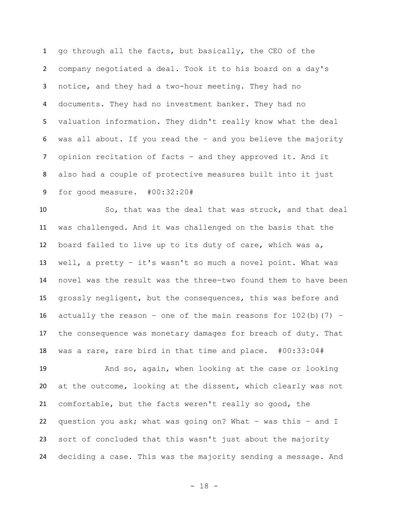go through all the facts, but basically, the CEO of the company negotiated a deal. Took it to his board on a day's notice, and they had a two-hour meeting. They had no documents. They had no investment banker. They had no valuation information. They didn't really know what the deal was all about. If you read the – and you believe the majority opinion recitation of facts – and they approved it. And it also had a couple of protective measures built into it just for good measure. #00:32:20#

 So, that was the deal that was struck, and that deal was challenged. And it was challenged on the basis that the board failed to live up to its duty of care, which was a, well, a pretty – it's wasn't so much a novel point. What was novel was the result was the three-two found them to have been grossly negligent, but the consequences, this was before and 16 actually the reason - one of the main reasons for  $102(b)$  (7) - the consequence was monetary damages for breach of duty. That was a rare, rare bird in that time and place. #00:33:04#

 And so, again, when looking at the case or looking at the outcome, looking at the dissent, which clearly was not comfortable, but the facts weren't really so good, the question you ask; what was going on? What – was this – and I sort of concluded that this wasn't just about the majority deciding a case. This was the majority sending a message. And

- 18 -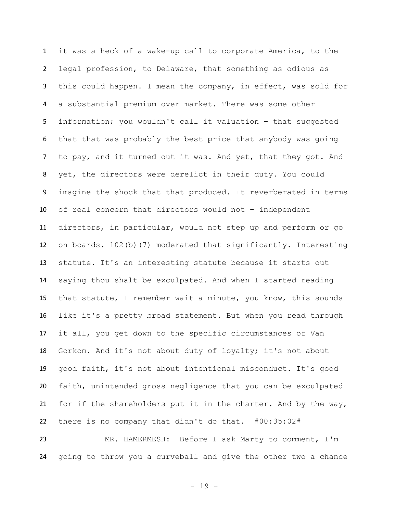it was a heck of a wake-up call to corporate America, to the legal profession, to Delaware, that something as odious as this could happen. I mean the company, in effect, was sold for a substantial premium over market. There was some other information; you wouldn't call it valuation – that suggested that that was probably the best price that anybody was going 7 to pay, and it turned out it was. And yet, that they got. And yet, the directors were derelict in their duty. You could imagine the shock that that produced. It reverberated in terms of real concern that directors would not – independent directors, in particular, would not step up and perform or go on boards. 102(b)(7) moderated that significantly. Interesting statute. It's an interesting statute because it starts out saying thou shalt be exculpated. And when I started reading that statute, I remember wait a minute, you know, this sounds like it's a pretty broad statement. But when you read through it all, you get down to the specific circumstances of Van Gorkom. And it's not about duty of loyalty; it's not about good faith, it's not about intentional misconduct. It's good faith, unintended gross negligence that you can be exculpated for if the shareholders put it in the charter. And by the way, there is no company that didn't do that. #00:35:02#

 MR. HAMERMESH: Before I ask Marty to comment, I'm going to throw you a curveball and give the other two a chance

- 19 -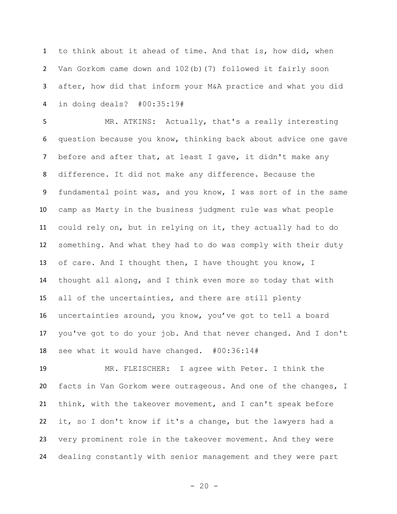to think about it ahead of time. And that is, how did, when Van Gorkom came down and 102(b)(7) followed it fairly soon after, how did that inform your M&A practice and what you did in doing deals? #00:35:19#

 MR. ATKINS: Actually, that's a really interesting question because you know, thinking back about advice one gave 7 before and after that, at least I gave, it didn't make any difference. It did not make any difference. Because the fundamental point was, and you know, I was sort of in the same camp as Marty in the business judgment rule was what people could rely on, but in relying on it, they actually had to do something. And what they had to do was comply with their duty of care. And I thought then, I have thought you know, I thought all along, and I think even more so today that with all of the uncertainties, and there are still plenty uncertainties around, you know, you've got to tell a board you've got to do your job. And that never changed. And I don't see what it would have changed. #00:36:14#

 MR. FLEISCHER: I agree with Peter. I think the facts in Van Gorkom were outrageous. And one of the changes, I think, with the takeover movement, and I can't speak before it, so I don't know if it's a change, but the lawyers had a very prominent role in the takeover movement. And they were dealing constantly with senior management and they were part

 $- 20 -$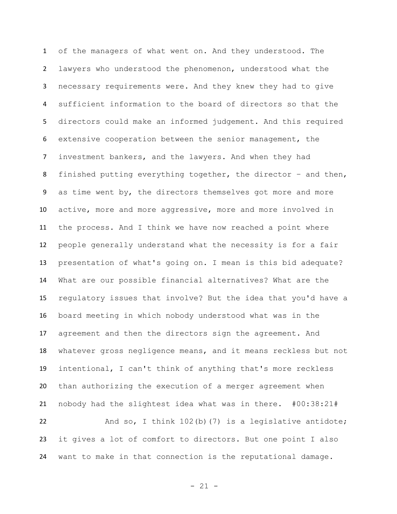of the managers of what went on. And they understood. The lawyers who understood the phenomenon, understood what the necessary requirements were. And they knew they had to give sufficient information to the board of directors so that the directors could make an informed judgement. And this required extensive cooperation between the senior management, the investment bankers, and the lawyers. And when they had finished putting everything together, the director – and then, as time went by, the directors themselves got more and more active, more and more aggressive, more and more involved in the process. And I think we have now reached a point where people generally understand what the necessity is for a fair presentation of what's going on. I mean is this bid adequate? What are our possible financial alternatives? What are the regulatory issues that involve? But the idea that you'd have a board meeting in which nobody understood what was in the agreement and then the directors sign the agreement. And whatever gross negligence means, and it means reckless but not intentional, I can't think of anything that's more reckless than authorizing the execution of a merger agreement when nobody had the slightest idea what was in there. #00:38:21# 22 And so, I think 102(b)(7) is a legislative antidote;

want to make in that connection is the reputational damage.

it gives a lot of comfort to directors. But one point I also

- 21 -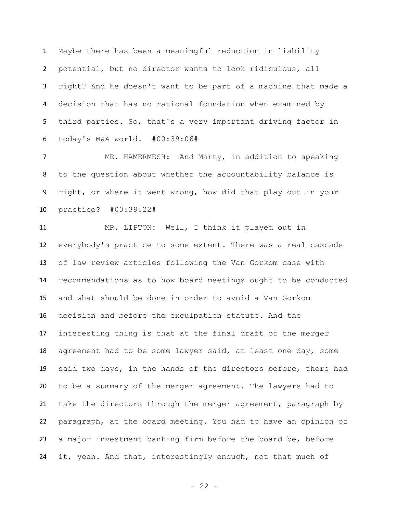Maybe there has been a meaningful reduction in liability potential, but no director wants to look ridiculous, all right? And he doesn't want to be part of a machine that made a decision that has no rational foundation when examined by third parties. So, that's a very important driving factor in today's M&A world. #00:39:06#

 MR. HAMERMESH: And Marty, in addition to speaking to the question about whether the accountability balance is right, or where it went wrong, how did that play out in your practice? #00:39:22#

 MR. LIPTON: Well, I think it played out in everybody's practice to some extent. There was a real cascade of law review articles following the Van Gorkom case with recommendations as to how board meetings ought to be conducted and what should be done in order to avoid a Van Gorkom decision and before the exculpation statute. And the interesting thing is that at the final draft of the merger agreement had to be some lawyer said, at least one day, some said two days, in the hands of the directors before, there had to be a summary of the merger agreement. The lawyers had to take the directors through the merger agreement, paragraph by paragraph, at the board meeting. You had to have an opinion of a major investment banking firm before the board be, before it, yeah. And that, interestingly enough, not that much of

- 22 -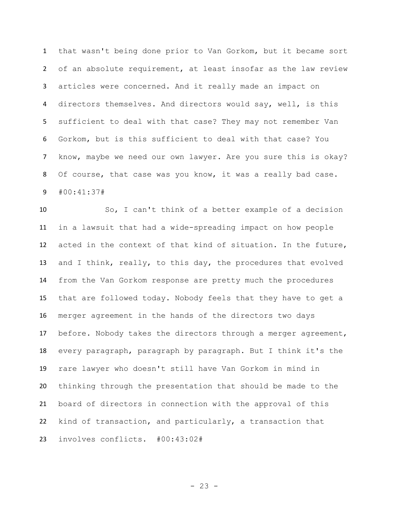that wasn't being done prior to Van Gorkom, but it became sort of an absolute requirement, at least insofar as the law review articles were concerned. And it really made an impact on directors themselves. And directors would say, well, is this sufficient to deal with that case? They may not remember Van Gorkom, but is this sufficient to deal with that case? You know, maybe we need our own lawyer. Are you sure this is okay? 8 Of course, that case was you know, it was a really bad case. #00:41:37#

 So, I can't think of a better example of a decision in a lawsuit that had a wide-spreading impact on how people acted in the context of that kind of situation. In the future, and I think, really, to this day, the procedures that evolved from the Van Gorkom response are pretty much the procedures that are followed today. Nobody feels that they have to get a merger agreement in the hands of the directors two days before. Nobody takes the directors through a merger agreement, every paragraph, paragraph by paragraph. But I think it's the rare lawyer who doesn't still have Van Gorkom in mind in thinking through the presentation that should be made to the board of directors in connection with the approval of this kind of transaction, and particularly, a transaction that involves conflicts. #00:43:02#

 $- 23 -$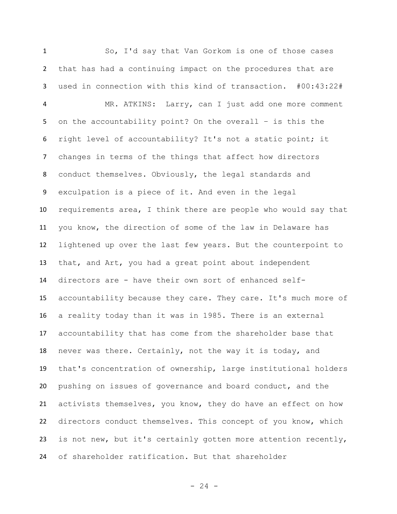So, I'd say that Van Gorkom is one of those cases that has had a continuing impact on the procedures that are used in connection with this kind of transaction. #00:43:22# MR. ATKINS: Larry, can I just add one more comment on the accountability point? On the overall – is this the right level of accountability? It's not a static point; it changes in terms of the things that affect how directors conduct themselves. Obviously, the legal standards and exculpation is a piece of it. And even in the legal requirements area, I think there are people who would say that you know, the direction of some of the law in Delaware has lightened up over the last few years. But the counterpoint to that, and Art, you had a great point about independent directors are - have their own sort of enhanced self- accountability because they care. They care. It's much more of a reality today than it was in 1985. There is an external accountability that has come from the shareholder base that never was there. Certainly, not the way it is today, and that's concentration of ownership, large institutional holders pushing on issues of governance and board conduct, and the activists themselves, you know, they do have an effect on how directors conduct themselves. This concept of you know, which is not new, but it's certainly gotten more attention recently, of shareholder ratification. But that shareholder

 $- 24 -$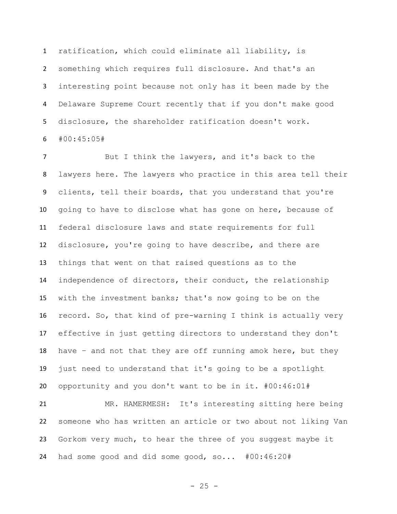ratification, which could eliminate all liability, is something which requires full disclosure. And that's an interesting point because not only has it been made by the Delaware Supreme Court recently that if you don't make good disclosure, the shareholder ratification doesn't work. #00:45:05#

 But I think the lawyers, and it's back to the lawyers here. The lawyers who practice in this area tell their clients, tell their boards, that you understand that you're going to have to disclose what has gone on here, because of federal disclosure laws and state requirements for full disclosure, you're going to have describe, and there are things that went on that raised questions as to the independence of directors, their conduct, the relationship with the investment banks; that's now going to be on the record. So, that kind of pre-warning I think is actually very effective in just getting directors to understand they don't have – and not that they are off running amok here, but they just need to understand that it's going to be a spotlight opportunity and you don't want to be in it. #00:46:01#

 MR. HAMERMESH: It's interesting sitting here being someone who has written an article or two about not liking Van Gorkom very much, to hear the three of you suggest maybe it had some good and did some good, so... #00:46:20#

- 25 -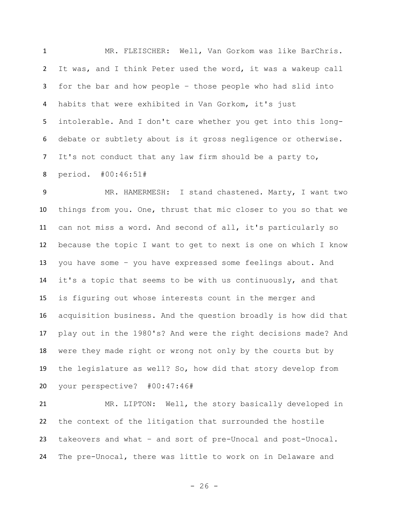MR. FLEISCHER: Well, Van Gorkom was like BarChris. It was, and I think Peter used the word, it was a wakeup call for the bar and how people – those people who had slid into habits that were exhibited in Van Gorkom, it's just intolerable. And I don't care whether you get into this long- debate or subtlety about is it gross negligence or otherwise. It's not conduct that any law firm should be a party to, period. #00:46:51#

 MR. HAMERMESH: I stand chastened. Marty, I want two things from you. One, thrust that mic closer to you so that we can not miss a word. And second of all, it's particularly so because the topic I want to get to next is one on which I know you have some – you have expressed some feelings about. And it's a topic that seems to be with us continuously, and that is figuring out whose interests count in the merger and acquisition business. And the question broadly is how did that play out in the 1980's? And were the right decisions made? And were they made right or wrong not only by the courts but by the legislature as well? So, how did that story develop from your perspective? #00:47:46#

 MR. LIPTON: Well, the story basically developed in the context of the litigation that surrounded the hostile takeovers and what – and sort of pre-Unocal and post-Unocal. The pre-Unocal, there was little to work on in Delaware and

 $- 26 -$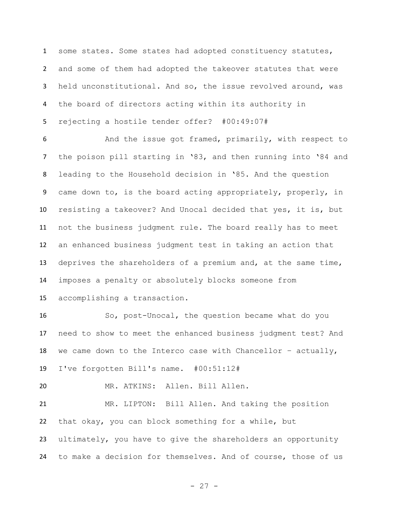1 some states. Some states had adopted constituency statutes, and some of them had adopted the takeover statutes that were held unconstitutional. And so, the issue revolved around, was the board of directors acting within its authority in rejecting a hostile tender offer? #00:49:07#

6 And the issue got framed, primarily, with respect to the poison pill starting in '83, and then running into '84 and leading to the Household decision in '85. And the question came down to, is the board acting appropriately, properly, in resisting a takeover? And Unocal decided that yes, it is, but not the business judgment rule. The board really has to meet an enhanced business judgment test in taking an action that deprives the shareholders of a premium and, at the same time, imposes a penalty or absolutely blocks someone from accomplishing a transaction.

 So, post-Unocal, the question became what do you need to show to meet the enhanced business judgment test? And 18 we came down to the Interco case with Chancellor - actually, I've forgotten Bill's name. #00:51:12#

MR. ATKINS: Allen. Bill Allen.

 MR. LIPTON: Bill Allen. And taking the position that okay, you can block something for a while, but ultimately, you have to give the shareholders an opportunity to make a decision for themselves. And of course, those of us

- 27 -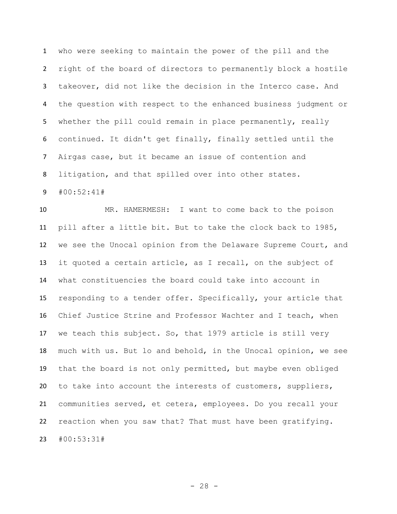who were seeking to maintain the power of the pill and the right of the board of directors to permanently block a hostile takeover, did not like the decision in the Interco case. And the question with respect to the enhanced business judgment or 5 whether the pill could remain in place permanently, really continued. It didn't get finally, finally settled until the Airgas case, but it became an issue of contention and litigation, and that spilled over into other states. #00:52:41#

 MR. HAMERMESH: I want to come back to the poison pill after a little bit. But to take the clock back to 1985, we see the Unocal opinion from the Delaware Supreme Court, and it quoted a certain article, as I recall, on the subject of what constituencies the board could take into account in responding to a tender offer. Specifically, your article that Chief Justice Strine and Professor Wachter and I teach, when we teach this subject. So, that 1979 article is still very much with us. But lo and behold, in the Unocal opinion, we see that the board is not only permitted, but maybe even obliged to take into account the interests of customers, suppliers, communities served, et cetera, employees. Do you recall your reaction when you saw that? That must have been gratifying. #00:53:31#

 $- 28 -$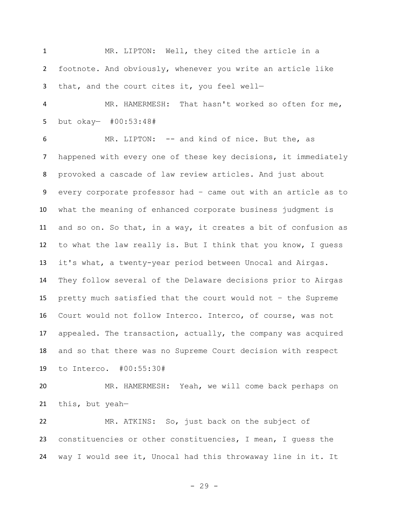MR. LIPTON: Well, they cited the article in a footnote. And obviously, whenever you write an article like 3 that, and the court cites it, you feel well-

 MR. HAMERMESH: That hasn't worked so often for me, but okay— #00:53:48#

 MR. LIPTON: -- and kind of nice. But the, as happened with every one of these key decisions, it immediately provoked a cascade of law review articles. And just about every corporate professor had – came out with an article as to what the meaning of enhanced corporate business judgment is and so on. So that, in a way, it creates a bit of confusion as to what the law really is. But I think that you know, I guess it's what, a twenty-year period between Unocal and Airgas. They follow several of the Delaware decisions prior to Airgas pretty much satisfied that the court would not – the Supreme Court would not follow Interco. Interco, of course, was not appealed. The transaction, actually, the company was acquired and so that there was no Supreme Court decision with respect to Interco. #00:55:30#

 MR. HAMERMESH: Yeah, we will come back perhaps on this, but yeah—

 MR. ATKINS: So, just back on the subject of constituencies or other constituencies, I mean, I guess the way I would see it, Unocal had this throwaway line in it. It

- 29 -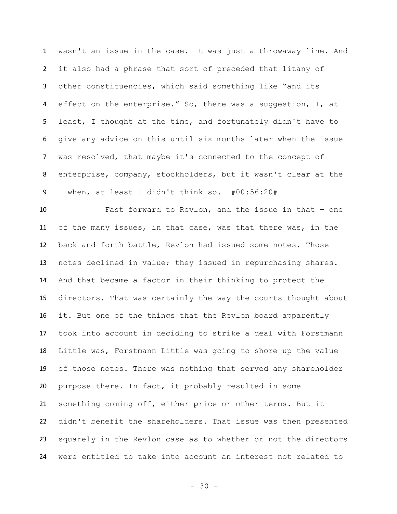wasn't an issue in the case. It was just a throwaway line. And it also had a phrase that sort of preceded that litany of other constituencies, which said something like "and its effect on the enterprise." So, there was a suggestion, I, at least, I thought at the time, and fortunately didn't have to give any advice on this until six months later when the issue was resolved, that maybe it's connected to the concept of enterprise, company, stockholders, but it wasn't clear at the – when, at least I didn't think so. #00:56:20#

 Fast forward to Revlon, and the issue in that – one of the many issues, in that case, was that there was, in the back and forth battle, Revlon had issued some notes. Those notes declined in value; they issued in repurchasing shares. And that became a factor in their thinking to protect the directors. That was certainly the way the courts thought about it. But one of the things that the Revlon board apparently took into account in deciding to strike a deal with Forstmann Little was, Forstmann Little was going to shore up the value of those notes. There was nothing that served any shareholder purpose there. In fact, it probably resulted in some – something coming off, either price or other terms. But it didn't benefit the shareholders. That issue was then presented squarely in the Revlon case as to whether or not the directors were entitled to take into account an interest not related to

 $- 30 -$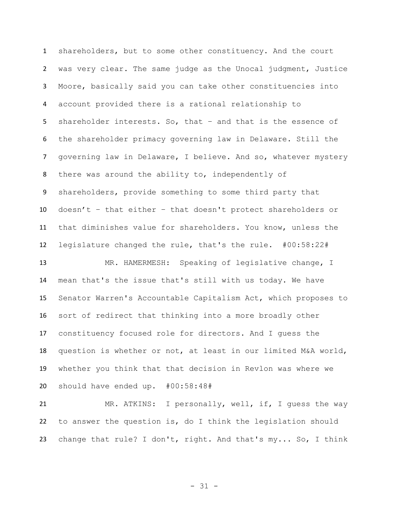shareholders, but to some other constituency. And the court was very clear. The same judge as the Unocal judgment, Justice Moore, basically said you can take other constituencies into account provided there is a rational relationship to shareholder interests. So, that – and that is the essence of the shareholder primacy governing law in Delaware. Still the governing law in Delaware, I believe. And so, whatever mystery there was around the ability to, independently of shareholders, provide something to some third party that doesn't – that either – that doesn't protect shareholders or that diminishes value for shareholders. You know, unless the legislature changed the rule, that's the rule. #00:58:22# MR. HAMERMESH: Speaking of legislative change, I

 mean that's the issue that's still with us today. We have Senator Warren's Accountable Capitalism Act, which proposes to sort of redirect that thinking into a more broadly other constituency focused role for directors. And I guess the question is whether or not, at least in our limited M&A world, whether you think that that decision in Revlon was where we should have ended up. #00:58:48#

 MR. ATKINS: I personally, well, if, I guess the way to answer the question is, do I think the legislation should change that rule? I don't, right. And that's my... So, I think

- 31 -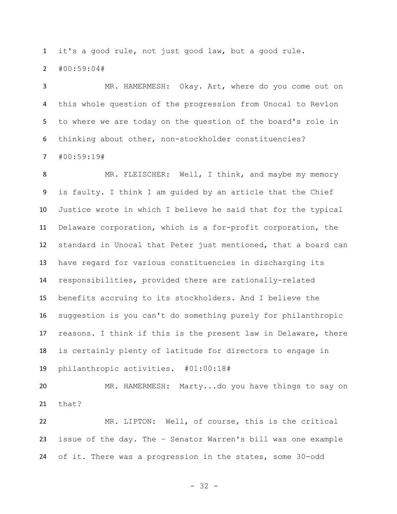it's a good rule, not just good law, but a good rule.

#00:59:04#

 MR. HAMERMESH: Okay. Art, where do you come out on this whole question of the progression from Unocal to Revlon to where we are today on the question of the board's role in thinking about other, non-stockholder constituencies?

#00:59:19#

8 MR. FLEISCHER: Well, I think, and maybe my memory is faulty. I think I am guided by an article that the Chief Justice wrote in which I believe he said that for the typical Delaware corporation, which is a for-profit corporation, the standard in Unocal that Peter just mentioned, that a board can have regard for various constituencies in discharging its responsibilities, provided there are rationally-related benefits accruing to its stockholders. And I believe the suggestion is you can't do something purely for philanthropic reasons. I think if this is the present law in Delaware, there is certainly plenty of latitude for directors to engage in philanthropic activities. #01:00:18#

 MR. HAMERMESH: Marty...do you have things to say on that?

 MR. LIPTON: Well, of course, this is the critical issue of the day. The – Senator Warren's bill was one example of it. There was a progression in the states, some 30-odd

- 32 -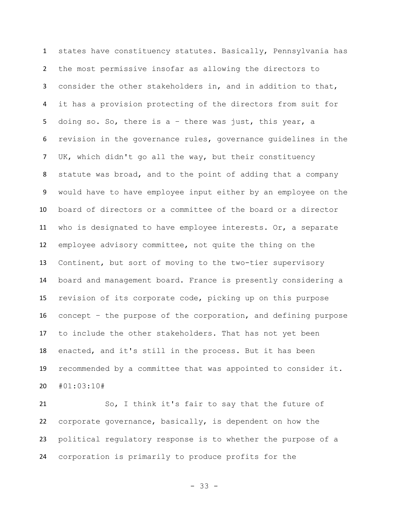states have constituency statutes. Basically, Pennsylvania has the most permissive insofar as allowing the directors to consider the other stakeholders in, and in addition to that, it has a provision protecting of the directors from suit for doing so. So, there is a – there was just, this year, a revision in the governance rules, governance guidelines in the UK, which didn't go all the way, but their constituency statute was broad, and to the point of adding that a company would have to have employee input either by an employee on the board of directors or a committee of the board or a director who is designated to have employee interests. Or, a separate employee advisory committee, not quite the thing on the Continent, but sort of moving to the two-tier supervisory board and management board. France is presently considering a revision of its corporate code, picking up on this purpose concept – the purpose of the corporation, and defining purpose to include the other stakeholders. That has not yet been enacted, and it's still in the process. But it has been recommended by a committee that was appointed to consider it. #01:03:10#

 So, I think it's fair to say that the future of corporate governance, basically, is dependent on how the political regulatory response is to whether the purpose of a corporation is primarily to produce profits for the

- 33 -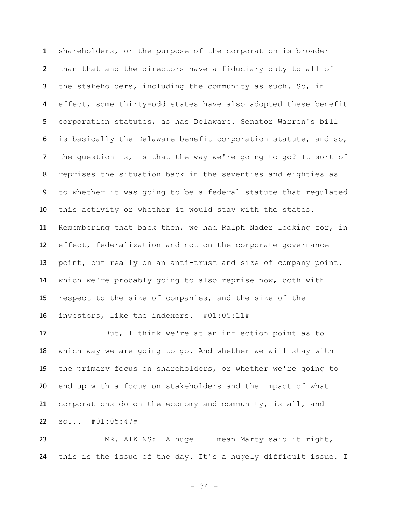shareholders, or the purpose of the corporation is broader than that and the directors have a fiduciary duty to all of the stakeholders, including the community as such. So, in effect, some thirty-odd states have also adopted these benefit corporation statutes, as has Delaware. Senator Warren's bill is basically the Delaware benefit corporation statute, and so, the question is, is that the way we're going to go? It sort of reprises the situation back in the seventies and eighties as to whether it was going to be a federal statute that regulated this activity or whether it would stay with the states. Remembering that back then, we had Ralph Nader looking for, in effect, federalization and not on the corporate governance point, but really on an anti-trust and size of company point, which we're probably going to also reprise now, both with respect to the size of companies, and the size of the investors, like the indexers. #01:05:11#

 But, I think we're at an inflection point as to which way we are going to go. And whether we will stay with the primary focus on shareholders, or whether we're going to end up with a focus on stakeholders and the impact of what corporations do on the economy and community, is all, and so... #01:05:47#

 MR. ATKINS: A huge – I mean Marty said it right, this is the issue of the day. It's a hugely difficult issue. I

- 34 -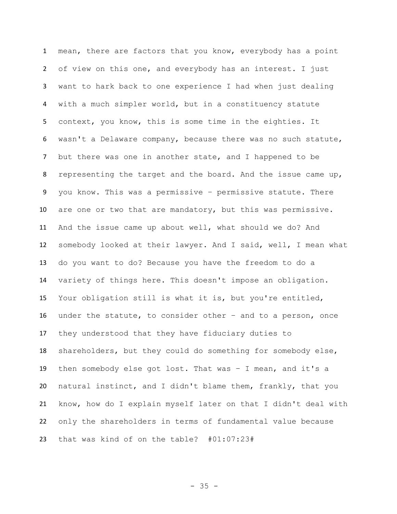mean, there are factors that you know, everybody has a point of view on this one, and everybody has an interest. I just want to hark back to one experience I had when just dealing with a much simpler world, but in a constituency statute context, you know, this is some time in the eighties. It wasn't a Delaware company, because there was no such statute, but there was one in another state, and I happened to be representing the target and the board. And the issue came up, you know. This was a permissive – permissive statute. There are one or two that are mandatory, but this was permissive. And the issue came up about well, what should we do? And somebody looked at their lawyer. And I said, well, I mean what do you want to do? Because you have the freedom to do a variety of things here. This doesn't impose an obligation. Your obligation still is what it is, but you're entitled, under the statute, to consider other – and to a person, once they understood that they have fiduciary duties to shareholders, but they could do something for somebody else, then somebody else got lost. That was – I mean, and it's a natural instinct, and I didn't blame them, frankly, that you know, how do I explain myself later on that I didn't deal with only the shareholders in terms of fundamental value because that was kind of on the table? #01:07:23#

- 35 -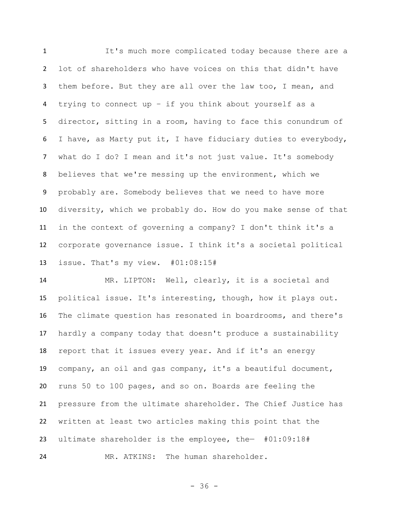It's much more complicated today because there are a lot of shareholders who have voices on this that didn't have them before. But they are all over the law too, I mean, and trying to connect up – if you think about yourself as a director, sitting in a room, having to face this conundrum of I have, as Marty put it, I have fiduciary duties to everybody, what do I do? I mean and it's not just value. It's somebody believes that we're messing up the environment, which we probably are. Somebody believes that we need to have more diversity, which we probably do. How do you make sense of that in the context of governing a company? I don't think it's a corporate governance issue. I think it's a societal political issue. That's my view. #01:08:15#

 MR. LIPTON: Well, clearly, it is a societal and political issue. It's interesting, though, how it plays out. The climate question has resonated in boardrooms, and there's hardly a company today that doesn't produce a sustainability report that it issues every year. And if it's an energy company, an oil and gas company, it's a beautiful document, runs 50 to 100 pages, and so on. Boards are feeling the pressure from the ultimate shareholder. The Chief Justice has written at least two articles making this point that the ultimate shareholder is the employee, the— #01:09:18# MR. ATKINS: The human shareholder.

- 36 -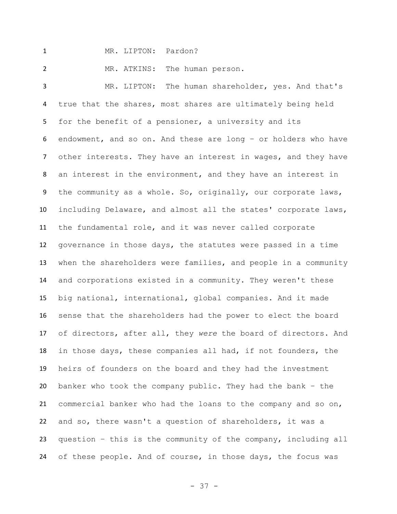MR. LIPTON: Pardon?

MR. ATKINS: The human person.

 MR. LIPTON: The human shareholder, yes. And that's true that the shares, most shares are ultimately being held for the benefit of a pensioner, a university and its endowment, and so on. And these are long – or holders who have other interests. They have an interest in wages, and they have an interest in the environment, and they have an interest in the community as a whole. So, originally, our corporate laws, including Delaware, and almost all the states' corporate laws, the fundamental role, and it was never called corporate governance in those days, the statutes were passed in a time when the shareholders were families, and people in a community and corporations existed in a community. They weren't these big national, international, global companies. And it made sense that the shareholders had the power to elect the board of directors, after all, they *were* the board of directors. And in those days, these companies all had, if not founders, the heirs of founders on the board and they had the investment banker who took the company public. They had the bank – the commercial banker who had the loans to the company and so on, and so, there wasn't a question of shareholders, it was a question – this is the community of the company, including all of these people. And of course, in those days, the focus was

- 37 -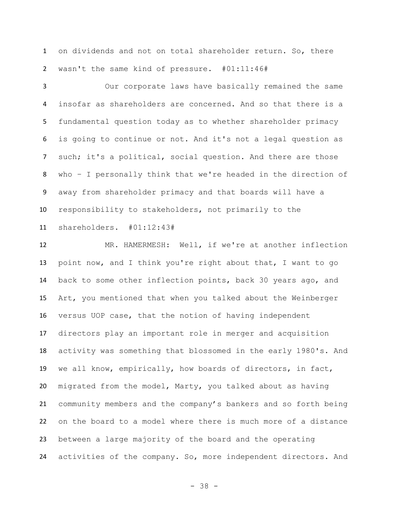on dividends and not on total shareholder return. So, there wasn't the same kind of pressure. #01:11:46#

 Our corporate laws have basically remained the same insofar as shareholders are concerned. And so that there is a fundamental question today as to whether shareholder primacy is going to continue or not. And it's not a legal question as such; it's a political, social question. And there are those who – I personally think that we're headed in the direction of away from shareholder primacy and that boards will have a responsibility to stakeholders, not primarily to the shareholders. #01:12:43#

 MR. HAMERMESH: Well, if we're at another inflection point now, and I think you're right about that, I want to go back to some other inflection points, back 30 years ago, and Art, you mentioned that when you talked about the Weinberger versus UOP case, that the notion of having independent directors play an important role in merger and acquisition activity was something that blossomed in the early 1980's. And we all know, empirically, how boards of directors, in fact, migrated from the model, Marty, you talked about as having community members and the company's bankers and so forth being on the board to a model where there is much more of a distance between a large majority of the board and the operating activities of the company. So, more independent directors. And

- 38 -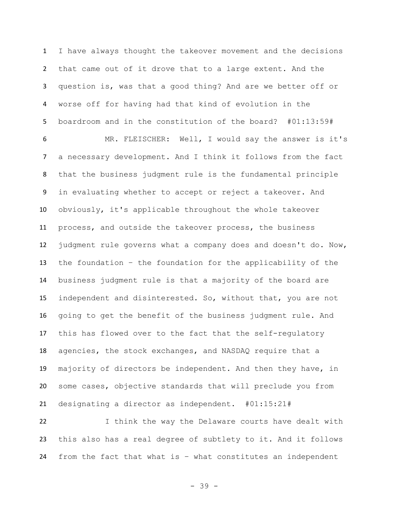I have always thought the takeover movement and the decisions that came out of it drove that to a large extent. And the question is, was that a good thing? And are we better off or worse off for having had that kind of evolution in the boardroom and in the constitution of the board? #01:13:59#

 MR. FLEISCHER: Well, I would say the answer is it's a necessary development. And I think it follows from the fact that the business judgment rule is the fundamental principle in evaluating whether to accept or reject a takeover. And obviously, it's applicable throughout the whole takeover process, and outside the takeover process, the business judgment rule governs what a company does and doesn't do. Now, the foundation – the foundation for the applicability of the business judgment rule is that a majority of the board are independent and disinterested. So, without that, you are not going to get the benefit of the business judgment rule. And this has flowed over to the fact that the self-regulatory agencies, the stock exchanges, and NASDAQ require that a majority of directors be independent. And then they have, in some cases, objective standards that will preclude you from designating a director as independent. #01:15:21#

 I think the way the Delaware courts have dealt with this also has a real degree of subtlety to it. And it follows from the fact that what is – what constitutes an independent

- 39 -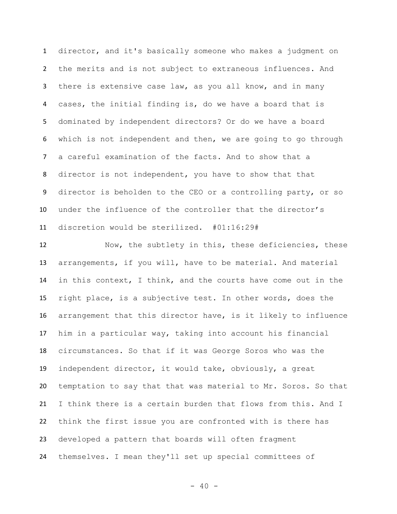director, and it's basically someone who makes a judgment on the merits and is not subject to extraneous influences. And there is extensive case law, as you all know, and in many cases, the initial finding is, do we have a board that is dominated by independent directors? Or do we have a board which is not independent and then, we are going to go through a careful examination of the facts. And to show that a director is not independent, you have to show that that director is beholden to the CEO or a controlling party, or so under the influence of the controller that the director's discretion would be sterilized. #01:16:29#

 Now, the subtlety in this, these deficiencies, these arrangements, if you will, have to be material. And material in this context, I think, and the courts have come out in the right place, is a subjective test. In other words, does the arrangement that this director have, is it likely to influence him in a particular way, taking into account his financial circumstances. So that if it was George Soros who was the independent director, it would take, obviously, a great temptation to say that that was material to Mr. Soros. So that I think there is a certain burden that flows from this. And I think the first issue you are confronted with is there has developed a pattern that boards will often fragment themselves. I mean they'll set up special committees of

 $- 40 -$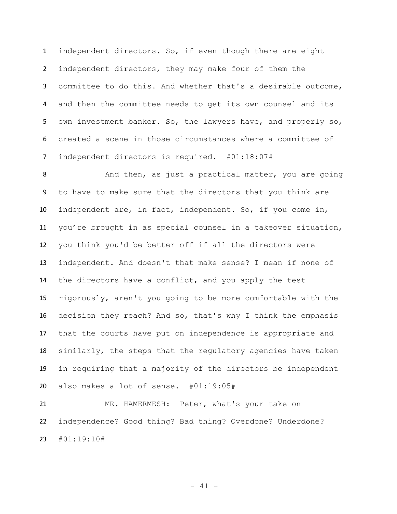independent directors. So, if even though there are eight independent directors, they may make four of them the committee to do this. And whether that's a desirable outcome, and then the committee needs to get its own counsel and its own investment banker. So, the lawyers have, and properly so, created a scene in those circumstances where a committee of independent directors is required. #01:18:07#

 And then, as just a practical matter, you are going to have to make sure that the directors that you think are independent are, in fact, independent. So, if you come in, you're brought in as special counsel in a takeover situation, you think you'd be better off if all the directors were independent. And doesn't that make sense? I mean if none of the directors have a conflict, and you apply the test rigorously, aren't you going to be more comfortable with the decision they reach? And so, that's why I think the emphasis that the courts have put on independence is appropriate and similarly, the steps that the regulatory agencies have taken in requiring that a majority of the directors be independent also makes a lot of sense. #01:19:05#

 MR. HAMERMESH: Peter, what's your take on independence? Good thing? Bad thing? Overdone? Underdone? #01:19:10#

- 41 -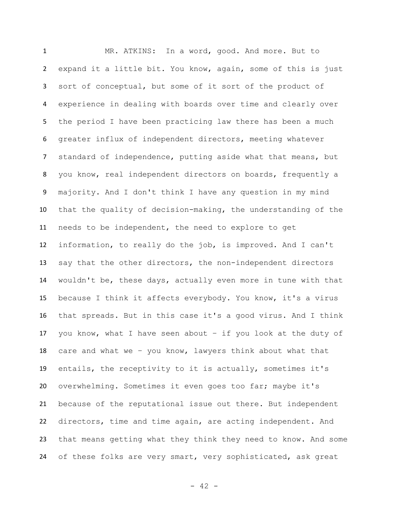MR. ATKINS: In a word, good. And more. But to expand it a little bit. You know, again, some of this is just sort of conceptual, but some of it sort of the product of experience in dealing with boards over time and clearly over the period I have been practicing law there has been a much greater influx of independent directors, meeting whatever standard of independence, putting aside what that means, but you know, real independent directors on boards, frequently a majority. And I don't think I have any question in my mind that the quality of decision-making, the understanding of the needs to be independent, the need to explore to get information, to really do the job, is improved. And I can't say that the other directors, the non-independent directors wouldn't be, these days, actually even more in tune with that because I think it affects everybody. You know, it's a virus that spreads. But in this case it's a good virus. And I think 17 you know, what I have seen about  $-$  if you look at the duty of care and what we – you know, lawyers think about what that entails, the receptivity to it is actually, sometimes it's overwhelming. Sometimes it even goes too far; maybe it's because of the reputational issue out there. But independent directors, time and time again, are acting independent. And that means getting what they think they need to know. And some of these folks are very smart, very sophisticated, ask great

 $- 42 -$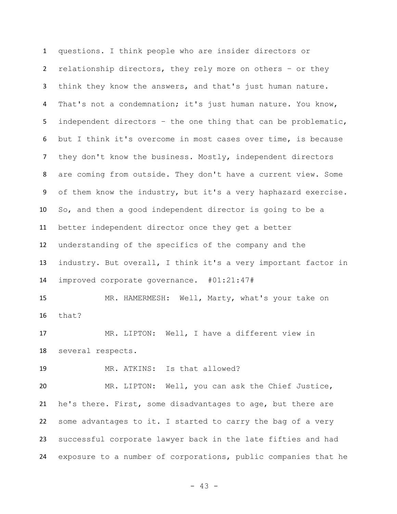questions. I think people who are insider directors or relationship directors, they rely more on others – or they think they know the answers, and that's just human nature. That's not a condemnation; it's just human nature. You know, independent directors – the one thing that can be problematic, but I think it's overcome in most cases over time, is because 7 they don't know the business. Mostly, independent directors are coming from outside. They don't have a current view. Some of them know the industry, but it's a very haphazard exercise. So, and then a good independent director is going to be a better independent director once they get a better understanding of the specifics of the company and the industry. But overall, I think it's a very important factor in improved corporate governance. #01:21:47# MR. HAMERMESH: Well, Marty, what's your take on that? MR. LIPTON: Well, I have a different view in several respects. MR. ATKINS: Is that allowed? MR. LIPTON: Well, you can ask the Chief Justice, he's there. First, some disadvantages to age, but there are some advantages to it. I started to carry the bag of a very successful corporate lawyer back in the late fifties and had exposure to a number of corporations, public companies that he

- 43 -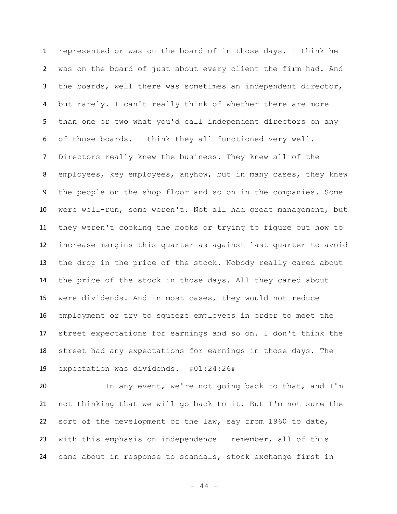represented or was on the board of in those days. I think he was on the board of just about every client the firm had. And the boards, well there was sometimes an independent director, but rarely. I can't really think of whether there are more than one or two what you'd call independent directors on any of those boards. I think they all functioned very well. Directors really knew the business. They knew all of the employees, key employees, anyhow, but in many cases, they knew the people on the shop floor and so on in the companies. Some were well-run, some weren't. Not all had great management, but they weren't cooking the books or trying to figure out how to increase margins this quarter as against last quarter to avoid the drop in the price of the stock. Nobody really cared about the price of the stock in those days. All they cared about were dividends. And in most cases, they would not reduce employment or try to squeeze employees in order to meet the street expectations for earnings and so on. I don't think the street had any expectations for earnings in those days. The expectation was dividends. #01:24:26#

 In any event, we're not going back to that, and I'm not thinking that we will go back to it. But I'm not sure the sort of the development of the law, say from 1960 to date, with this emphasis on independence – remember, all of this came about in response to scandals, stock exchange first in

- 44 -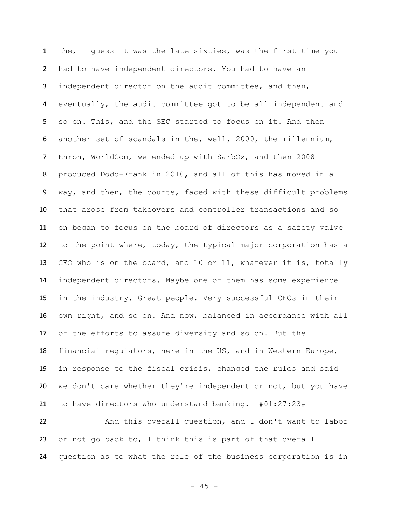the, I guess it was the late sixties, was the first time you had to have independent directors. You had to have an independent director on the audit committee, and then, eventually, the audit committee got to be all independent and so on. This, and the SEC started to focus on it. And then another set of scandals in the, well, 2000, the millennium, Enron, WorldCom, we ended up with SarbOx, and then 2008 produced Dodd-Frank in 2010, and all of this has moved in a way, and then, the courts, faced with these difficult problems that arose from takeovers and controller transactions and so on began to focus on the board of directors as a safety valve to the point where, today, the typical major corporation has a CEO who is on the board, and 10 or 11, whatever it is, totally independent directors. Maybe one of them has some experience in the industry. Great people. Very successful CEOs in their own right, and so on. And now, balanced in accordance with all of the efforts to assure diversity and so on. But the financial regulators, here in the US, and in Western Europe, in response to the fiscal crisis, changed the rules and said we don't care whether they're independent or not, but you have to have directors who understand banking. #01:27:23#

 And this overall question, and I don't want to labor or not go back to, I think this is part of that overall question as to what the role of the business corporation is in

 $- 45 -$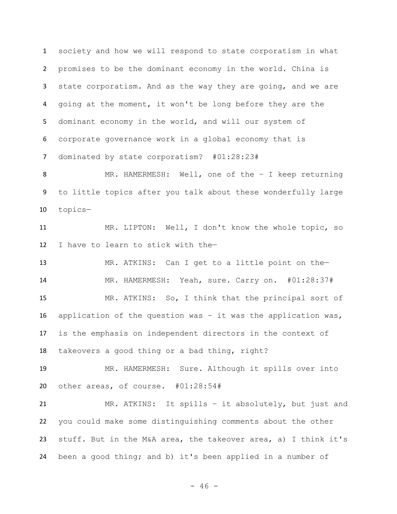society and how we will respond to state corporatism in what promises to be the dominant economy in the world. China is state corporatism. And as the way they are going, and we are going at the moment, it won't be long before they are the dominant economy in the world, and will our system of corporate governance work in a global economy that is dominated by state corporatism? #01:28:23#

 MR. HAMERMESH: Well, one of the – I keep returning to little topics after you talk about these wonderfully large topics—

 MR. LIPTON: Well, I don't know the whole topic, so I have to learn to stick with the—

 MR. ATKINS: Can I get to a little point on the— MR. HAMERMESH: Yeah, sure. Carry on. #01:28:37# MR. ATKINS: So, I think that the principal sort of application of the question was – it was the application was, is the emphasis on independent directors in the context of takeovers a good thing or a bad thing, right?

 MR. HAMERMESH: Sure. Although it spills over into other areas, of course. #01:28:54#

 MR. ATKINS: It spills – it absolutely, but just and you could make some distinguishing comments about the other stuff. But in the M&A area, the takeover area, a) I think it's been a good thing; and b) it's been applied in a number of

 $- 46 -$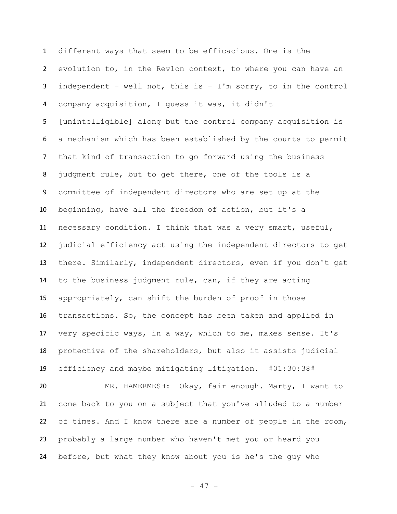different ways that seem to be efficacious. One is the evolution to, in the Revlon context, to where you can have an independent – well not, this is – I'm sorry, to in the control company acquisition, I guess it was, it didn't [unintelligible] along but the control company acquisition is a mechanism which has been established by the courts to permit that kind of transaction to go forward using the business judgment rule, but to get there, one of the tools is a committee of independent directors who are set up at the beginning, have all the freedom of action, but it's a necessary condition. I think that was a very smart, useful, judicial efficiency act using the independent directors to get there. Similarly, independent directors, even if you don't get to the business judgment rule, can, if they are acting appropriately, can shift the burden of proof in those transactions. So, the concept has been taken and applied in very specific ways, in a way, which to me, makes sense. It's protective of the shareholders, but also it assists judicial efficiency and maybe mitigating litigation. #01:30:38# MR. HAMERMESH: Okay, fair enough. Marty, I want to come back to you on a subject that you've alluded to a number of times. And I know there are a number of people in the room, probably a large number who haven't met you or heard you before, but what they know about you is he's the guy who

- 47 -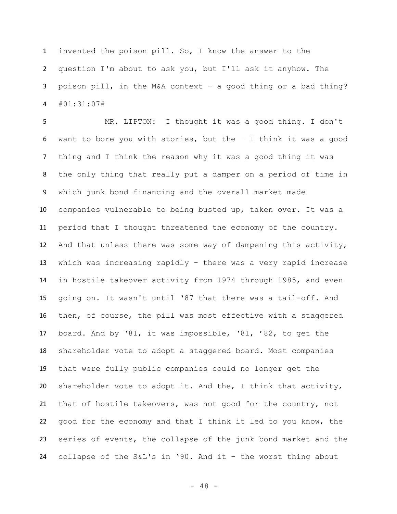invented the poison pill. So, I know the answer to the question I'm about to ask you, but I'll ask it anyhow. The poison pill, in the M&A context – a good thing or a bad thing? #01:31:07#

 MR. LIPTON: I thought it was a good thing. I don't want to bore you with stories, but the – I think it was a good thing and I think the reason why it was a good thing it was the only thing that really put a damper on a period of time in which junk bond financing and the overall market made companies vulnerable to being busted up, taken over. It was a period that I thought threatened the economy of the country. And that unless there was some way of dampening this activity, which was increasing rapidly - there was a very rapid increase in hostile takeover activity from 1974 through 1985, and even going on. It wasn't until '87 that there was a tail-off. And then, of course, the pill was most effective with a staggered board. And by '81, it was impossible, '81, '82, to get the shareholder vote to adopt a staggered board. Most companies that were fully public companies could no longer get the shareholder vote to adopt it. And the, I think that activity, that of hostile takeovers, was not good for the country, not good for the economy and that I think it led to you know, the series of events, the collapse of the junk bond market and the collapse of the S&L's in '90. And it – the worst thing about

 $- 48 -$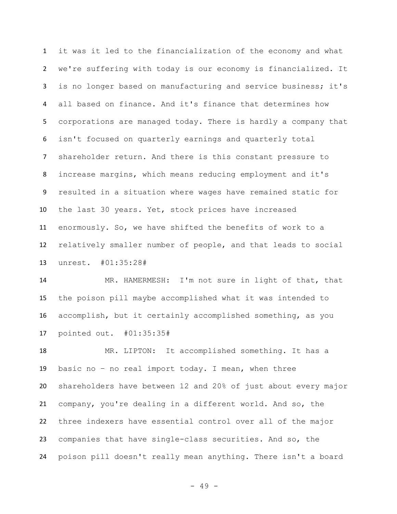it was it led to the financialization of the economy and what we're suffering with today is our economy is financialized. It is no longer based on manufacturing and service business; it's all based on finance. And it's finance that determines how corporations are managed today. There is hardly a company that isn't focused on quarterly earnings and quarterly total shareholder return. And there is this constant pressure to increase margins, which means reducing employment and it's resulted in a situation where wages have remained static for the last 30 years. Yet, stock prices have increased enormously. So, we have shifted the benefits of work to a relatively smaller number of people, and that leads to social unrest. #01:35:28#

 MR. HAMERMESH: I'm not sure in light of that, that the poison pill maybe accomplished what it was intended to accomplish, but it certainly accomplished something, as you pointed out. #01:35:35#

 MR. LIPTON: It accomplished something. It has a basic no – no real import today. I mean, when three shareholders have between 12 and 20% of just about every major company, you're dealing in a different world. And so, the three indexers have essential control over all of the major companies that have single-class securities. And so, the poison pill doesn't really mean anything. There isn't a board

- 49 -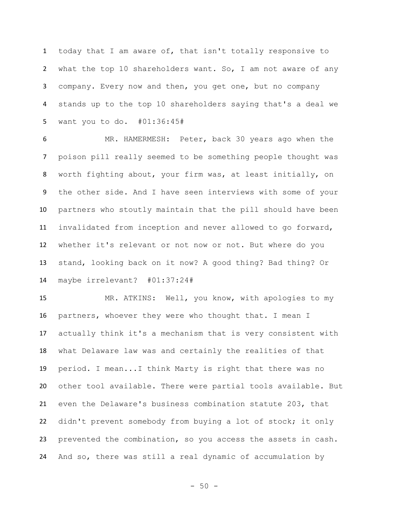today that I am aware of, that isn't totally responsive to what the top 10 shareholders want. So, I am not aware of any company. Every now and then, you get one, but no company stands up to the top 10 shareholders saying that's a deal we want you to do. #01:36:45#

 MR. HAMERMESH: Peter, back 30 years ago when the poison pill really seemed to be something people thought was worth fighting about, your firm was, at least initially, on the other side. And I have seen interviews with some of your partners who stoutly maintain that the pill should have been invalidated from inception and never allowed to go forward, whether it's relevant or not now or not. But where do you stand, looking back on it now? A good thing? Bad thing? Or maybe irrelevant? #01:37:24#

 MR. ATKINS: Well, you know, with apologies to my partners, whoever they were who thought that. I mean I actually think it's a mechanism that is very consistent with what Delaware law was and certainly the realities of that period. I mean...I think Marty is right that there was no other tool available. There were partial tools available. But even the Delaware's business combination statute 203, that didn't prevent somebody from buying a lot of stock; it only prevented the combination, so you access the assets in cash. And so, there was still a real dynamic of accumulation by

- 50 -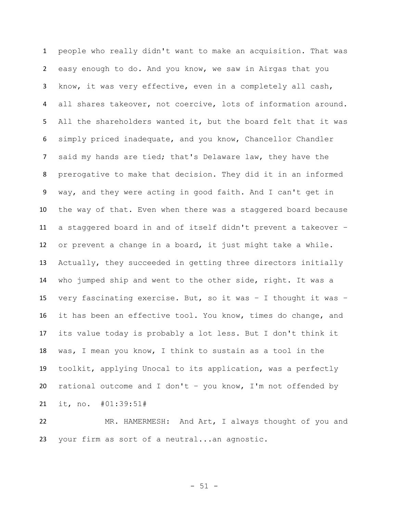people who really didn't want to make an acquisition. That was easy enough to do. And you know, we saw in Airgas that you know, it was very effective, even in a completely all cash, all shares takeover, not coercive, lots of information around. All the shareholders wanted it, but the board felt that it was simply priced inadequate, and you know, Chancellor Chandler said my hands are tied; that's Delaware law, they have the prerogative to make that decision. They did it in an informed way, and they were acting in good faith. And I can't get in the way of that. Even when there was a staggered board because a staggered board in and of itself didn't prevent a takeover – or prevent a change in a board, it just might take a while. Actually, they succeeded in getting three directors initially who jumped ship and went to the other side, right. It was a very fascinating exercise. But, so it was – I thought it was – it has been an effective tool. You know, times do change, and its value today is probably a lot less. But I don't think it was, I mean you know, I think to sustain as a tool in the toolkit, applying Unocal to its application, was a perfectly rational outcome and I don't – you know, I'm not offended by it, no. #01:39:51#

 MR. HAMERMESH: And Art, I always thought of you and your firm as sort of a neutral...an agnostic.

 $- 51 -$